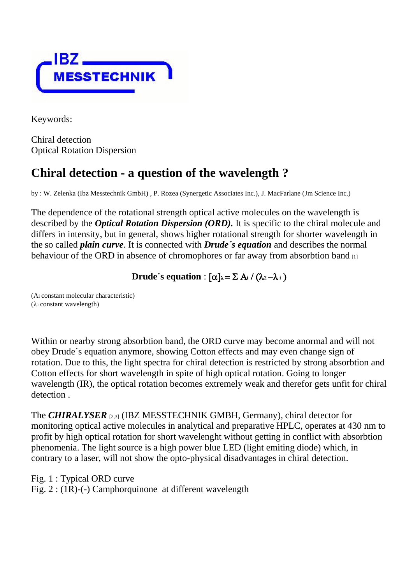

Keywords:

Chiral detection Optical Rotation Dispersion

## **Chiral detection - a question of the wavelength ?**

by : W. Zelenka (Ibz Messtechnik GmbH) , P. Rozea (Synergetic Associates Inc.), J. MacFarlane (Jm Science Inc.)

The dependence of the rotational strength optical active molecules on the wavelength is described by the *Optical Rotation Dispersion (ORD).* It is specific to the chiral molecule and differs in intensity, but in general, shows higher rotational strength for shorter wavelength in the so called *plain curve*. It is connected with *Drude´s equation* and describes the normal behaviour of the ORD in absence of chromophores or far away from absorbtion band [1]

**Drude**'s equation :  $[\alpha]_{\lambda} = \sum A_i / (\lambda_2 - \lambda_i)$ 

(Ai constant molecular characteristic)  $(\lambda i \text{ constant wavelength})$ 

Within or nearby strong absorbtion band, the ORD curve may become anormal and will not obey Drude´s equation anymore, showing Cotton effects and may even change sign of rotation. Due to this, the light spectra for chiral detection is restricted by strong absorbtion and Cotton effects for short wavelength in spite of high optical rotation. Going to longer wavelength (IR), the optical rotation becomes extremely weak and therefor gets unfit for chiral detection .

The *CHIRALYSER* [2,3] (IBZ MESSTECHNIK GMBH, Germany), chiral detector for monitoring optical active molecules in analytical and preparative HPLC, operates at 430 nm to profit by high optical rotation for short wavelenght without getting in conflict with absorbtion phenomenia. The light source is a high power blue LED (light emiting diode) which, in contrary to a laser, will not show the opto-physical disadvantages in chiral detection.

Fig. 1 : Typical ORD curve

Fig. 2 : (1R)-(-) Camphorquinone at different wavelength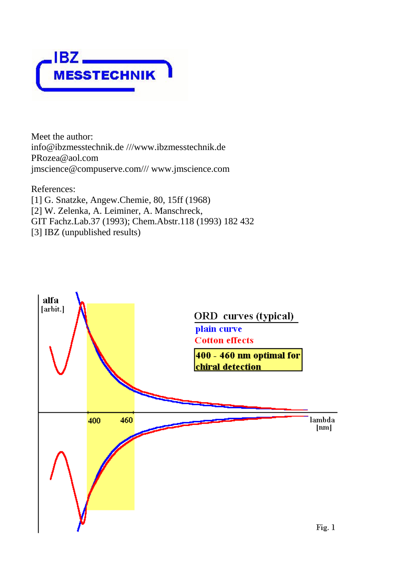

Meet the author: info@ibzmesstechnik.de ///www.ibzmesstechnik.de PRozea@aol.com jmscience@compuserve.com/// www.jmscience.com

References: [1] G. Snatzke, Angew.Chemie, 80, 15ff (1968) [2] W. Zelenka, A. Leiminer, A. Manschreck, GIT Fachz.Lab.37 (1993); Chem.Abstr.118 (1993) 182 432 [3] IBZ (unpublished results)